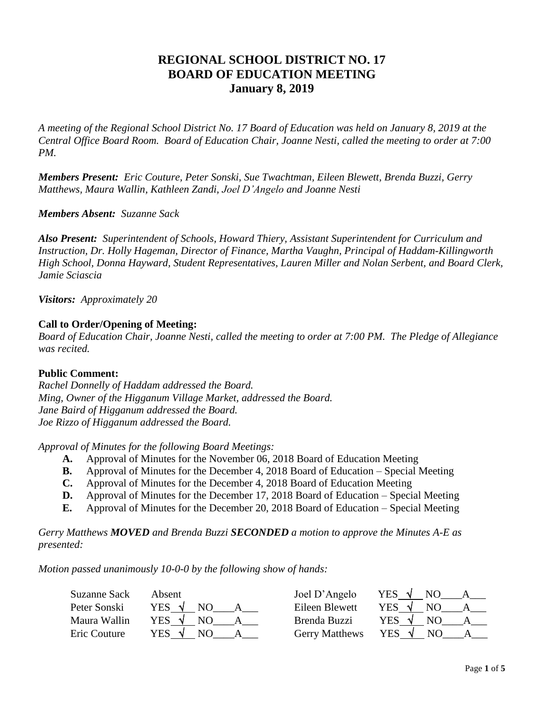# **REGIONAL SCHOOL DISTRICT NO. 17 BOARD OF EDUCATION MEETING January 8, 2019**

*A meeting of the Regional School District No. 17 Board of Education was held on January 8, 2019 at the Central Office Board Room. Board of Education Chair, Joanne Nesti, called the meeting to order at 7:00 PM.*

*Members Present: Eric Couture, Peter Sonski, Sue Twachtman, Eileen Blewett, Brenda Buzzi, Gerry Matthews, Maura Wallin, Kathleen Zandi, Joel D'Angelo and Joanne Nesti*

# *Members Absent: Suzanne Sack*

*Also Present: Superintendent of Schools, Howard Thiery, Assistant Superintendent for Curriculum and Instruction, Dr. Holly Hageman, Director of Finance, Martha Vaughn, Principal of Haddam-Killingworth High School, Donna Hayward, Student Representatives, Lauren Miller and Nolan Serbent, and Board Clerk, Jamie Sciascia* 

*Visitors: Approximately 20*

# **Call to Order/Opening of Meeting:**

*Board of Education Chair, Joanne Nesti, called the meeting to order at 7:00 PM. The Pledge of Allegiance was recited.*

# **Public Comment:**

*Rachel Donnelly of Haddam addressed the Board. Ming, Owner of the Higganum Village Market, addressed the Board. Jane Baird of Higganum addressed the Board. Joe Rizzo of Higganum addressed the Board.*

*Approval of Minutes for the following Board Meetings:*

- **A.** Approval of Minutes for the November 06, 2018 Board of Education Meeting
- **B.** Approval of Minutes for the December 4, 2018 Board of Education Special Meeting
- **C.** Approval of Minutes for the December 4, 2018 Board of Education Meeting
- **D.** Approval of Minutes for the December 17, 2018 Board of Education Special Meeting
- **E.** Approval of Minutes for the December 20, 2018 Board of Education Special Meeting

*Gerry Matthews MOVED and Brenda Buzzi SECONDED a motion to approve the Minutes A-E as presented:*

*Motion passed unanimously 10-0-0 by the following show of hands:*

| Suzanne Sack | Absent | Joel D'Angelo         | <b>YES</b><br>NC. |
|--------------|--------|-----------------------|-------------------|
| Peter Sonski | YES    | Eileen Blewett        | <b>YES</b>        |
| Maura Wallin | YES.   | Brenda Buzzi          | YES.              |
| Eric Couture | YES .  | <b>Gerry Matthews</b> | YES.              |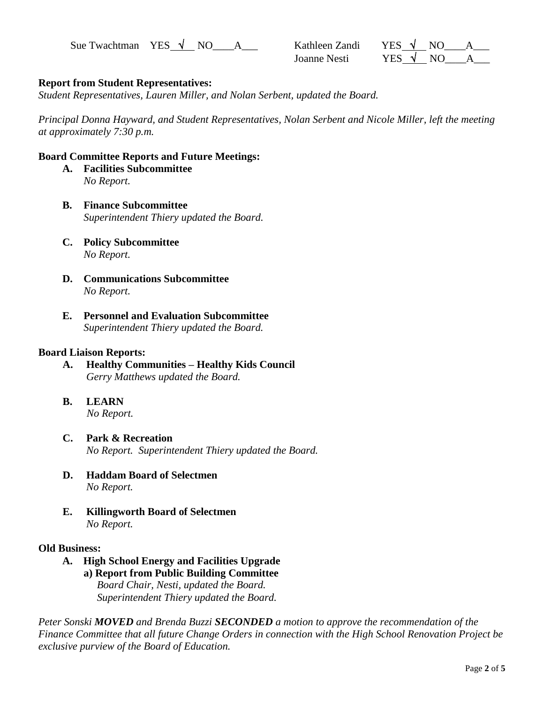Sue Twachtman YES  $\sqrt{N}$  NO  $\rightarrow$  A

| Kathleen Zandi | YES $\sqrt{ }$ | N <sub>O</sub> |  |
|----------------|----------------|----------------|--|
| Joanne Nesti   | YES $\sqrt{N}$ |                |  |

# **Report from Student Representatives:**

*Student Representatives, Lauren Miller, and Nolan Serbent, updated the Board.*

*Principal Donna Hayward, and Student Representatives, Nolan Serbent and Nicole Miller, left the meeting at approximately 7:30 p.m.*

### **Board Committee Reports and Future Meetings:**

- **A. Facilities Subcommittee**   *No Report.*
- **B. Finance Subcommittee**   *Superintendent Thiery updated the Board.*
- **C. Policy Subcommittee**  *No Report.*
- **D. Communications Subcommittee**  *No Report.*
- **E. Personnel and Evaluation Subcommittee**  *Superintendent Thiery updated the Board.*

### **Board Liaison Reports:**

- **A. Healthy Communities – Healthy Kids Council** *Gerry Matthews updated the Board.*
- **B. LEARN**   *No Report.*
- **C. Park & Recreation** *No Report. Superintendent Thiery updated the Board.*
- **D. Haddam Board of Selectmen** *No Report.*
- **E. Killingworth Board of Selectmen** *No Report.*

### **Old Business:**

 **A. High School Energy and Facilities Upgrade a) Report from Public Building Committee** *Board Chair, Nesti, updated the Board. Superintendent Thiery updated the Board.*

*Peter Sonski MOVED and Brenda Buzzi SECONDED a motion to approve the recommendation of the Finance Committee that all future Change Orders in connection with the High School Renovation Project be exclusive purview of the Board of Education.*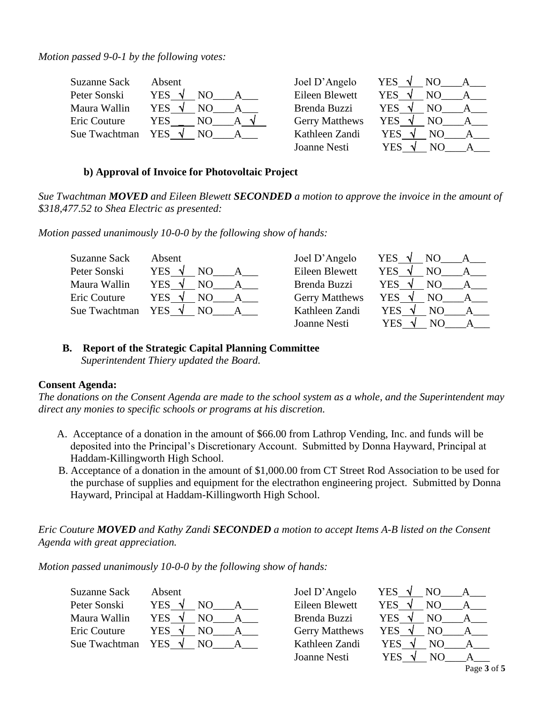*Motion passed 9-0-1 by the following votes:*

| <b>Suzanne Sack</b> | Absent            | Joel D'Angelo         | YES $\sqrt{ }$    |
|---------------------|-------------------|-----------------------|-------------------|
| Peter Sonski        | <b>YES</b><br>NO. | Eileen Blewett        | <b>YES</b><br>NO. |
| Maura Wallin        | YES.<br>NO.       | Brenda Buzzi          | <b>YES</b>        |
| Eric Couture        | YES<br>NO.        | <b>Gerry Matthews</b> | YES<br>NO.        |
| Sue Twachtman       | YES.<br>N()       | Kathleen Zandi        | YES<br>NO.        |
|                     |                   | Joanne Nesti          | YES<br>NO         |

# **b) Approval of Invoice for Photovoltaic Project**

*Sue Twachtman MOVED and Eileen Blewett SECONDED a motion to approve the invoice in the amount of \$318,477.52 to Shea Electric as presented:*

*Motion passed unanimously 10-0-0 by the following show of hands:*

| Suzanne Sack  | Absent                      | Joel D'Angelo         | YES $\sqrt{ }$             |
|---------------|-----------------------------|-----------------------|----------------------------|
| Peter Sonski  | <b>YES</b>                  | Eileen Blewett        | <b>YES</b><br>NO.          |
| Maura Wallin  | YES.                        | Brenda Buzzi          | YES<br>NO.<br>$\mathbf{A}$ |
| Eric Couture  | <b>YES</b><br>NO.           | <b>Gerry Matthews</b> | YES<br>NO.                 |
| Sue Twachtman | $\mathcal{A}$<br>YES<br>NO. | Kathleen Zandi        | <b>YES</b><br>NO.          |
|               |                             | Joanne Nesti          | YES                        |

# **B. Report of the Strategic Capital Planning Committee**

 *Superintendent Thiery updated the Board.*

# **Consent Agenda:**

*The donations on the Consent Agenda are made to the school system as a whole, and the Superintendent may direct any monies to specific schools or programs at his discretion.* 

- A. Acceptance of a donation in the amount of \$66.00 from Lathrop Vending, Inc. and funds will be deposited into the Principal's Discretionary Account. Submitted by Donna Hayward, Principal at Haddam-Killingworth High School.
- B. Acceptance of a donation in the amount of \$1,000.00 from CT Street Rod Association to be used for the purchase of supplies and equipment for the electrathon engineering project. Submitted by Donna Hayward, Principal at Haddam-Killingworth High School.

*Eric Couture MOVED and Kathy Zandi SECONDED a motion to accept Items A-B listed on the Consent Agenda with great appreciation.*

*Motion passed unanimously 10-0-0 by the following show of hands:*

| <b>Suzanne Sack</b> | Absent     |    |  |
|---------------------|------------|----|--|
| Peter Sonski        | <b>YES</b> | NΟ |  |
| Maura Wallin        | YES        | NО |  |
| Eric Couture        | YES        | NΟ |  |
| Sue Twachtman       | YES        |    |  |

Joel D'Angelo YES  $\sqrt{N}$ NO A Eileen Blewett YES  $\sqrt{N}$  NO  $\rightarrow$  A Brenda Buzzi YES  $\sqrt{N}$  NO  $\rightarrow$  A Gerry Matthews YES  $\sqrt{N}$  NO  $\rightarrow$  A Kathleen Zandi YES  $\sqrt{N}$  NO  $\rightarrow$  A Joanne Nesti YES  $\sqrt{N}$  NO A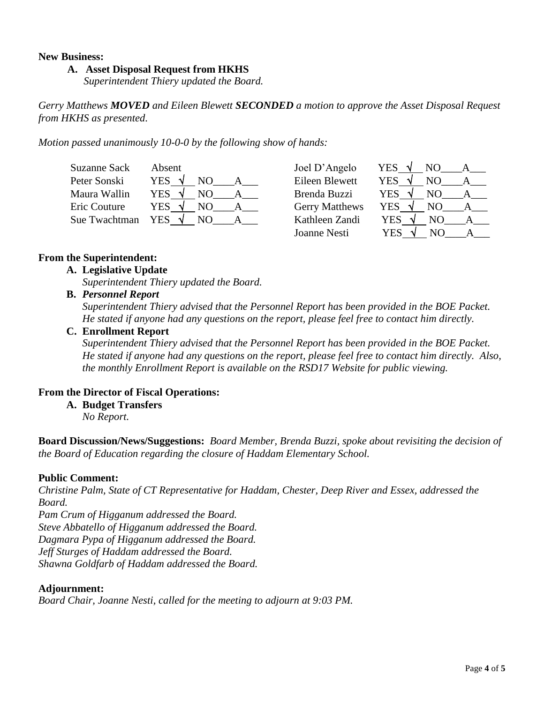### **New Business:**

### **A. Asset Disposal Request from HKHS**

*Superintendent Thiery updated the Board.*

*Gerry Matthews MOVED and Eileen Blewett SECONDED a motion to approve the Asset Disposal Request from HKHS as presented.*

*Motion passed unanimously 10-0-0 by the following show of hands:*

| Suzanne Sack  | Absent                      |     | Joel D'Angelo         | <b>YES</b> | NO             |  |
|---------------|-----------------------------|-----|-----------------------|------------|----------------|--|
| Peter Sonski  | YES √                       | NO. | Eileen Blewett        | <b>YES</b> | N <sub>O</sub> |  |
| Maura Wallin  | YES.                        | NO. | Brenda Buzzi          | <b>YES</b> | NΟ             |  |
| Eric Couture  | <b>YES</b><br>$\mathcal{N}$ | NO. | <b>Gerry Matthews</b> | <b>YES</b> | NO.            |  |
| Sue Twachtman | <b>YES</b>                  | NO. | Kathleen Zandi        | <b>YES</b> | NO             |  |
|               |                             |     | Joanne Nesti          | YES        | NО             |  |

### **From the Superintendent:**

### **A. Legislative Update**

*Superintendent Thiery updated the Board.*

**B.** *Personnel Report*

*Superintendent Thiery advised that the Personnel Report has been provided in the BOE Packet. He stated if anyone had any questions on the report, please feel free to contact him directly.*

**C. Enrollment Report**

*Superintendent Thiery advised that the Personnel Report has been provided in the BOE Packet. He stated if anyone had any questions on the report, please feel free to contact him directly. Also, the monthly Enrollment Report is available on the RSD17 Website for public viewing.*

### **From the Director of Fiscal Operations:**

**A. Budget Transfers**

*No Report.*

**Board Discussion/News/Suggestions:** *Board Member, Brenda Buzzi, spoke about revisiting the decision of the Board of Education regarding the closure of Haddam Elementary School.* 

### **Public Comment:**

*Christine Palm, State of CT Representative for Haddam, Chester, Deep River and Essex, addressed the Board.*

*Pam Crum of Higganum addressed the Board. Steve Abbatello of Higganum addressed the Board. Dagmara Pypa of Higganum addressed the Board. Jeff Sturges of Haddam addressed the Board. Shawna Goldfarb of Haddam addressed the Board.*

### **Adjournment:**

*Board Chair, Joanne Nesti, called for the meeting to adjourn at 9:03 PM.*